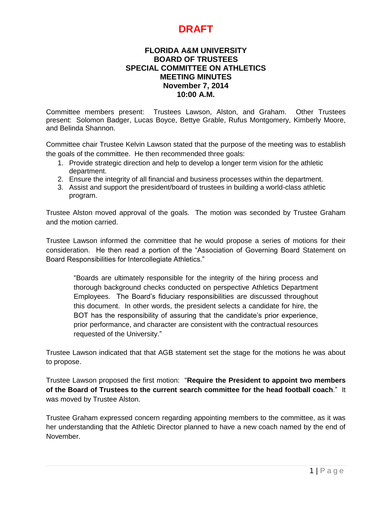#### **FLORIDA A&M UNIVERSITY BOARD OF TRUSTEES SPECIAL COMMITTEE ON ATHLETICS MEETING MINUTES November 7, 2014 10:00 A.M.**

Committee members present: Trustees Lawson, Alston, and Graham. Other Trustees present: Solomon Badger, Lucas Boyce, Bettye Grable, Rufus Montgomery, Kimberly Moore, and Belinda Shannon.

Committee chair Trustee Kelvin Lawson stated that the purpose of the meeting was to establish the goals of the committee. He then recommended three goals:

- 1. Provide strategic direction and help to develop a longer term vision for the athletic department.
- 2. Ensure the integrity of all financial and business processes within the department.
- 3. Assist and support the president/board of trustees in building a world-class athletic program.

Trustee Alston moved approval of the goals. The motion was seconded by Trustee Graham and the motion carried.

Trustee Lawson informed the committee that he would propose a series of motions for their consideration. He then read a portion of the "Association of Governing Board Statement on Board Responsibilities for Intercollegiate Athletics."

"Boards are ultimately responsible for the integrity of the hiring process and thorough background checks conducted on perspective Athletics Department Employees. The Board's fiduciary responsibilities are discussed throughout this document. In other words, the president selects a candidate for hire, the BOT has the responsibility of assuring that the candidate's prior experience, prior performance, and character are consistent with the contractual resources requested of the University."

Trustee Lawson indicated that that AGB statement set the stage for the motions he was about to propose.

Trustee Lawson proposed the first motion: "**Require the President to appoint two members of the Board of Trustees to the current search committee for the head football coach**." It was moved by Trustee Alston.

Trustee Graham expressed concern regarding appointing members to the committee, as it was her understanding that the Athletic Director planned to have a new coach named by the end of November.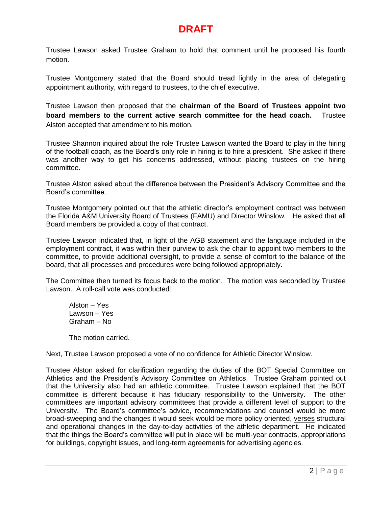Trustee Lawson asked Trustee Graham to hold that comment until he proposed his fourth motion.

Trustee Montgomery stated that the Board should tread lightly in the area of delegating appointment authority, with regard to trustees, to the chief executive.

Trustee Lawson then proposed that the **chairman of the Board of Trustees appoint two board members to the current active search committee for the head coach.** Trustee Alston accepted that amendment to his motion.

Trustee Shannon inquired about the role Trustee Lawson wanted the Board to play in the hiring of the football coach, as the Board's only role in hiring is to hire a president. She asked if there was another way to get his concerns addressed, without placing trustees on the hiring committee.

Trustee Alston asked about the difference between the President's Advisory Committee and the Board's committee.

Trustee Montgomery pointed out that the athletic director's employment contract was between the Florida A&M University Board of Trustees (FAMU) and Director Winslow. He asked that all Board members be provided a copy of that contract.

Trustee Lawson indicated that, in light of the AGB statement and the language included in the employment contract, it was within their purview to ask the chair to appoint two members to the committee, to provide additional oversight, to provide a sense of comfort to the balance of the board, that all processes and procedures were being followed appropriately.

The Committee then turned its focus back to the motion. The motion was seconded by Trustee Lawson. A roll-call vote was conducted:

Alston – Yes Lawson – Yes Graham – No

The motion carried.

Next, Trustee Lawson proposed a vote of no confidence for Athletic Director Winslow.

Trustee Alston asked for clarification regarding the duties of the BOT Special Committee on Athletics and the President's Advisory Committee on Athletics. Trustee Graham pointed out that the University also had an athletic committee. Trustee Lawson explained that the BOT committee is different because it has fiduciary responsibility to the University. The other committees are important advisory committees that provide a different level of support to the University. The Board's committee's advice, recommendations and counsel would be more broad-sweeping and the changes it would seek would be more policy oriented, verses structural and operational changes in the day-to-day activities of the athletic department. He indicated that the things the Board's committee will put in place will be multi-year contracts, appropriations for buildings, copyright issues, and long-term agreements for advertising agencies.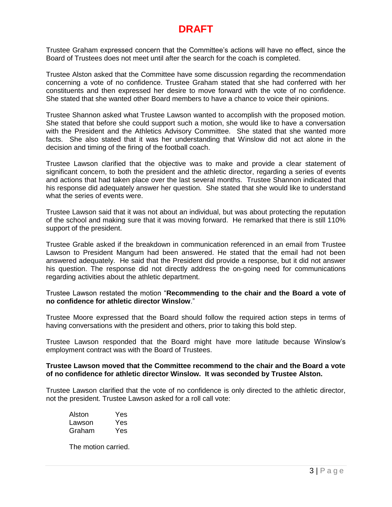Trustee Graham expressed concern that the Committee's actions will have no effect, since the Board of Trustees does not meet until after the search for the coach is completed.

Trustee Alston asked that the Committee have some discussion regarding the recommendation concerning a vote of no confidence. Trustee Graham stated that she had conferred with her constituents and then expressed her desire to move forward with the vote of no confidence. She stated that she wanted other Board members to have a chance to voice their opinions.

Trustee Shannon asked what Trustee Lawson wanted to accomplish with the proposed motion. She stated that before she could support such a motion, she would like to have a conversation with the President and the Athletics Advisory Committee. She stated that she wanted more facts. She also stated that it was her understanding that Winslow did not act alone in the decision and timing of the firing of the football coach.

Trustee Lawson clarified that the objective was to make and provide a clear statement of significant concern, to both the president and the athletic director, regarding a series of events and actions that had taken place over the last several months. Trustee Shannon indicated that his response did adequately answer her question. She stated that she would like to understand what the series of events were.

Trustee Lawson said that it was not about an individual, but was about protecting the reputation of the school and making sure that it was moving forward. He remarked that there is still 110% support of the president.

Trustee Grable asked if the breakdown in communication referenced in an email from Trustee Lawson to President Mangum had been answered. He stated that the email had not been answered adequately. He said that the President did provide a response, but it did not answer his question. The response did not directly address the on-going need for communications regarding activities about the athletic department.

Trustee Lawson restated the motion "**Recommending to the chair and the Board a vote of no confidence for athletic director Winslow**."

Trustee Moore expressed that the Board should follow the required action steps in terms of having conversations with the president and others, prior to taking this bold step.

Trustee Lawson responded that the Board might have more latitude because Winslow's employment contract was with the Board of Trustees.

#### **Trustee Lawson moved that the Committee recommend to the chair and the Board a vote of no confidence for athletic director Winslow. It was seconded by Trustee Alston.**

Trustee Lawson clarified that the vote of no confidence is only directed to the athletic director, not the president. Trustee Lawson asked for a roll call vote:

| Alston | Yes |
|--------|-----|
| Lawson | Yes |
| Graham | Yes |

The motion carried.